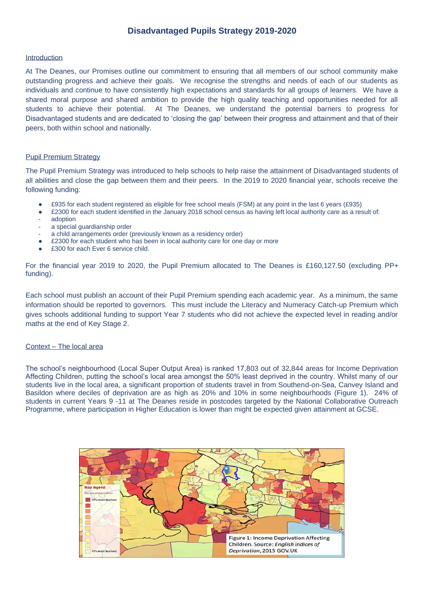## **Disadvantaged Pupils Strategy 2019-2020**

### Introduction

At The Deanes, our Promises outline our commitment to ensuring that all members of our school community make outstanding progress and achieve their goals. We recognise the strengths and needs of each of our students as individuals and continue to have consistently high expectations and standards for all groups of learners. We have a shared moral purpose and shared ambition to provide the high quality teaching and opportunities needed for all students to achieve their potential. At The Deanes, we understand the potential barriers to progress for Disadvantaged students and are dedicated to 'closing the gap' between their progress and attainment and that of their peers, both within school and nationally.

#### Pupil Premium Strategy

The Pupil Premium Strategy was introduced to help schools to help raise the attainment of Disadvantaged students of all abilities and close the gap between them and their peers. In the 2019 to 2020 financial year, schools receive the following funding:

- £935 for each student registered as eligible for free school meals (FSM) at any point in the last 6 years (£935)
- $£2300$  for each student identified in the January 2018 school census as having left local authority care as a result of:
- adoption
- a special guardianship order
- a child arrangements order (previously known as a residency order)
- £2300 for each student who has been in local authority care for one day or more
- £300 for each Ever 6 service child.

For the financial year 2019 to 2020, the Pupil Premium allocated to The Deanes is £160,127.50 (excluding PP+ funding).

Each school must publish an account of their Pupil Premium spending each academic year. As a minimum, the same information should be reported to governors. This must include the Literacy and Numeracy Catch-up Premium which gives schools additional funding to support Year 7 students who did not achieve the expected level in reading and/or maths at the end of Key Stage 2.

## Context – The local area

The school's neighbourhood (Local Super Output Area) is ranked 17,803 out of 32,844 areas for Income Deprivation Affecting Children, putting the school's local area amongst the 50% least deprived in the country. Whilst many of our students live in the local area, a significant proportion of students travel in from Southend-on-Sea, Canvey Island and Basildon where deciles of deprivation are as high as 20% and 10% in some neighbourhoods (Figure 1). 24% of students in current Years 9 -11 at The Deanes reside in postcodes targeted by the National Collaborative Outreach Programme, where participation in Higher Education is lower than might be expected given attainment at GCSE.

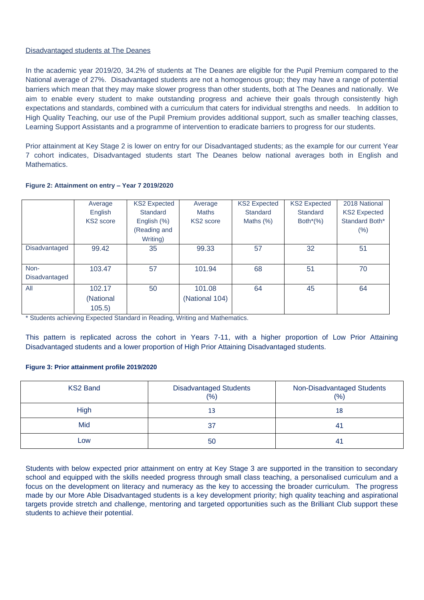## Disadvantaged students at The Deanes

In the academic year 2019/20, 34.2% of students at The Deanes are eligible for the Pupil Premium compared to the National average of 27%. Disadvantaged students are not a homogenous group; they may have a range of potential barriers which mean that they may make slower progress than other students, both at The Deanes and nationally. We aim to enable every student to make outstanding progress and achieve their goals through consistently high expectations and standards, combined with a curriculum that caters for individual strengths and needs. In addition to High Quality Teaching, our use of the Pupil Premium provides additional support, such as smaller teaching classes, Learning Support Assistants and a programme of intervention to eradicate barriers to progress for our students.

Prior attainment at Key Stage 2 is lower on entry for our Disadvantaged students; as the example for our current Year 7 cohort indicates, Disadvantaged students start The Deanes below national averages both in English and Mathematics.

|               | Average   | <b>KS2 Expected</b> | Average               | <b>KS2 Expected</b> | <b>KS2 Expected</b> | 2018 National       |
|---------------|-----------|---------------------|-----------------------|---------------------|---------------------|---------------------|
|               | English   | Standard            | <b>Maths</b>          | Standard            | Standard            | <b>KS2 Expected</b> |
|               | KS2 score | English (%)         | KS <sub>2</sub> score | Maths $(\%)$        | Both $*(\%)$        | Standard Both*      |
|               |           | (Reading and        |                       |                     |                     | $(\%)$              |
|               |           | Writing)            |                       |                     |                     |                     |
| Disadvantaged | 99.42     | 35                  | 99.33                 | 57                  | 32                  | 51                  |
|               |           |                     |                       |                     |                     |                     |
| Non-          | 103.47    | 57                  | 101.94                | 68                  | 51                  | 70                  |
| Disadvantaged |           |                     |                       |                     |                     |                     |
| All           | 102.17    | 50                  | 101.08                | 64                  | 45                  | 64                  |
|               | (National |                     | (National 104)        |                     |                     |                     |
|               | 105.5)    |                     |                       |                     |                     |                     |

## **Figure 2: Attainment on entry – Year 7 2019/2020**

\* Students achieving Expected Standard in Reading, Writing and Mathematics.

This pattern is replicated across the cohort in Years 7-11, with a higher proportion of Low Prior Attaining Disadvantaged students and a lower proportion of High Prior Attaining Disadvantaged students.

### **Figure 3: Prior attainment profile 2019/2020**

| KS2 Band | <b>Disadvantaged Students</b><br>(% ) | Non-Disadvantaged Students<br>(% ) |
|----------|---------------------------------------|------------------------------------|
| High     | 13                                    | 18                                 |
| Mid      | 37                                    | -41                                |
| Low      | 50                                    | -41                                |

Students with below expected prior attainment on entry at Key Stage 3 are supported in the transition to secondary school and equipped with the skills needed progress through small class teaching, a personalised curriculum and a focus on the development on literacy and numeracy as the key to accessing the broader curriculum. The progress made by our More Able Disadvantaged students is a key development priority; high quality teaching and aspirational targets provide stretch and challenge, mentoring and targeted opportunities such as the Brilliant Club support these students to achieve their potential.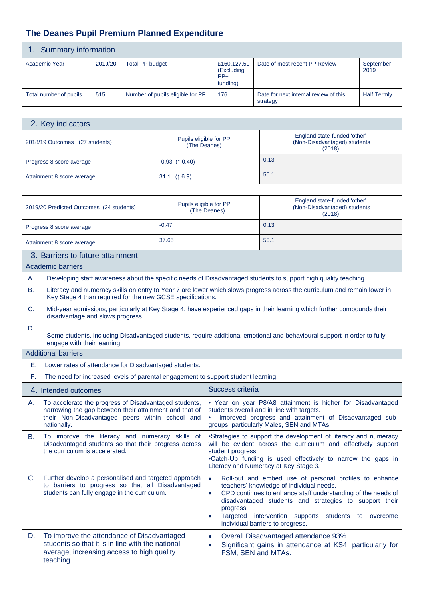|           | The Deanes Pupil Premium Planned Expenditure                                                                                                                                                                                                                                                                                                                                                                                                                                                                                      |         |                        |                                                                                                                                                                    |                        |                                                |                                                                                                                                                                                                                  |                    |
|-----------|-----------------------------------------------------------------------------------------------------------------------------------------------------------------------------------------------------------------------------------------------------------------------------------------------------------------------------------------------------------------------------------------------------------------------------------------------------------------------------------------------------------------------------------|---------|------------------------|--------------------------------------------------------------------------------------------------------------------------------------------------------------------|------------------------|------------------------------------------------|------------------------------------------------------------------------------------------------------------------------------------------------------------------------------------------------------------------|--------------------|
|           | 1. Summary information                                                                                                                                                                                                                                                                                                                                                                                                                                                                                                            |         |                        |                                                                                                                                                                    |                        |                                                |                                                                                                                                                                                                                  |                    |
|           | Academic Year                                                                                                                                                                                                                                                                                                                                                                                                                                                                                                                     | 2019/20 | <b>Total PP budget</b> |                                                                                                                                                                    |                        | £160,127.50<br>(Excluding<br>$PP+$<br>funding) | Date of most recent PP Review                                                                                                                                                                                    | September<br>2019  |
|           | Total number of pupils                                                                                                                                                                                                                                                                                                                                                                                                                                                                                                            | 515     |                        | Number of pupils eligible for PP                                                                                                                                   |                        | 176                                            | Date for next internal review of this<br>strategy                                                                                                                                                                | <b>Half Termly</b> |
|           |                                                                                                                                                                                                                                                                                                                                                                                                                                                                                                                                   |         |                        |                                                                                                                                                                    |                        |                                                |                                                                                                                                                                                                                  |                    |
|           | 2. Key indicators                                                                                                                                                                                                                                                                                                                                                                                                                                                                                                                 |         |                        |                                                                                                                                                                    |                        |                                                |                                                                                                                                                                                                                  |                    |
|           | 2018/19 Outcomes (27 students)                                                                                                                                                                                                                                                                                                                                                                                                                                                                                                    |         |                        | Pupils eligible for PP<br>(The Deanes)                                                                                                                             |                        |                                                | England state-funded 'other'<br>(Non-Disadvantaged) students<br>(2018)                                                                                                                                           |                    |
|           | Progress 8 score average                                                                                                                                                                                                                                                                                                                                                                                                                                                                                                          |         |                        | $-0.93$ ( $\uparrow$ 0.40)                                                                                                                                         |                        |                                                | 0.13                                                                                                                                                                                                             |                    |
|           | Attainment 8 score average                                                                                                                                                                                                                                                                                                                                                                                                                                                                                                        |         |                        | 31.1 $(6.9)$                                                                                                                                                       |                        |                                                | 50.1                                                                                                                                                                                                             |                    |
|           |                                                                                                                                                                                                                                                                                                                                                                                                                                                                                                                                   |         |                        |                                                                                                                                                                    |                        |                                                |                                                                                                                                                                                                                  |                    |
|           | 2019/20 Predicted Outcomes (34 students)                                                                                                                                                                                                                                                                                                                                                                                                                                                                                          |         |                        | Pupils eligible for PP<br>(The Deanes)                                                                                                                             |                        |                                                | England state-funded 'other'<br>(Non-Disadvantaged) students<br>(2018)                                                                                                                                           |                    |
|           | Progress 8 score average                                                                                                                                                                                                                                                                                                                                                                                                                                                                                                          |         |                        | $-0.47$                                                                                                                                                            |                        |                                                | 0.13                                                                                                                                                                                                             |                    |
|           | Attainment 8 score average                                                                                                                                                                                                                                                                                                                                                                                                                                                                                                        |         |                        | 37.65                                                                                                                                                              |                        |                                                | 50.1                                                                                                                                                                                                             |                    |
|           | 3. Barriers to future attainment                                                                                                                                                                                                                                                                                                                                                                                                                                                                                                  |         |                        |                                                                                                                                                                    |                        |                                                |                                                                                                                                                                                                                  |                    |
|           | Academic barriers                                                                                                                                                                                                                                                                                                                                                                                                                                                                                                                 |         |                        |                                                                                                                                                                    |                        |                                                |                                                                                                                                                                                                                  |                    |
| А.        |                                                                                                                                                                                                                                                                                                                                                                                                                                                                                                                                   |         |                        |                                                                                                                                                                    |                        |                                                | Developing staff awareness about the specific needs of Disadvantaged students to support high quality teaching.                                                                                                  |                    |
| В.        |                                                                                                                                                                                                                                                                                                                                                                                                                                                                                                                                   |         |                        | Key Stage 4 than required for the new GCSE specifications.                                                                                                         |                        |                                                | Literacy and numeracy skills on entry to Year 7 are lower which slows progress across the curriculum and remain lower in                                                                                         |                    |
| C.        | disadvantage and slows progress.                                                                                                                                                                                                                                                                                                                                                                                                                                                                                                  |         |                        |                                                                                                                                                                    |                        |                                                | Mid-year admissions, particularly at Key Stage 4, have experienced gaps in their learning which further compounds their                                                                                          |                    |
| D.        | engage with their learning.                                                                                                                                                                                                                                                                                                                                                                                                                                                                                                       |         |                        |                                                                                                                                                                    |                        |                                                | Some students, including Disadvantaged students, require additional emotional and behavioural support in order to fully                                                                                          |                    |
|           | <b>Additional barriers</b>                                                                                                                                                                                                                                                                                                                                                                                                                                                                                                        |         |                        |                                                                                                                                                                    |                        |                                                |                                                                                                                                                                                                                  |                    |
| Ε.        |                                                                                                                                                                                                                                                                                                                                                                                                                                                                                                                                   |         |                        | Lower rates of attendance for Disadvantaged students.                                                                                                              |                        |                                                |                                                                                                                                                                                                                  |                    |
| F.        |                                                                                                                                                                                                                                                                                                                                                                                                                                                                                                                                   |         |                        | The need for increased levels of parental engagement to support student learning.                                                                                  |                        |                                                |                                                                                                                                                                                                                  |                    |
|           | 4. Intended outcomes                                                                                                                                                                                                                                                                                                                                                                                                                                                                                                              |         |                        |                                                                                                                                                                    |                        | Success criteria                               |                                                                                                                                                                                                                  |                    |
| А.        | nationally.                                                                                                                                                                                                                                                                                                                                                                                                                                                                                                                       |         |                        | To accelerate the progress of Disadvantaged students,<br>narrowing the gap between their attainment and that of<br>their Non-Disadvantaged peers within school and |                        |                                                | • Year on year P8/A8 attainment is higher for Disadvantaged<br>students overall and in line with targets.<br>Improved progress and attainment of Disadvantaged sub-<br>groups, particularly Males, SEN and MTAs. |                    |
| <b>B.</b> | To improve the literacy and numeracy skills of<br>•Strategies to support the development of literacy and numeracy<br>will be evident across the curriculum and effectively support<br>Disadvantaged students so that their progress across<br>the curriculum is accelerated.<br>student progress.<br>.Catch-Up funding is used effectively to narrow the gaps in<br>Literacy and Numeracy at Key Stage 3.                                                                                                                         |         |                        |                                                                                                                                                                    |                        |                                                |                                                                                                                                                                                                                  |                    |
| C.        | Further develop a personalised and targeted approach<br>Roll-out and embed use of personal profiles to enhance<br>$\bullet$<br>to barriers to progress so that all Disadvantaged<br>teachers' knowledge of individual needs.<br>students can fully engage in the curriculum.<br>CPD continues to enhance staff understanding of the needs of<br>disadvantaged students and strategies to support their<br>progress.<br>Targeted<br>intervention supports<br>students to overcome<br>$\bullet$<br>individual barriers to progress. |         |                        |                                                                                                                                                                    |                        |                                                |                                                                                                                                                                                                                  |                    |
| D.        | To improve the attendance of Disadvantaged<br>students so that it is in line with the national<br>average, increasing access to high quality<br>teaching.                                                                                                                                                                                                                                                                                                                                                                         |         |                        |                                                                                                                                                                    | $\bullet$<br>$\bullet$ |                                                | Overall Disadvantaged attendance 93%.<br>Significant gains in attendance at KS4, particularly for<br>FSM, SEN and MTAs.                                                                                          |                    |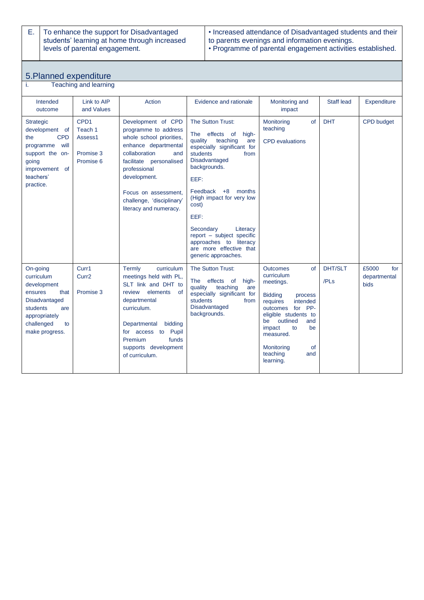E. To enhance the support for Disadvantaged students' learning at home through increased levels of parental engagement.

#### • Increased attendance of Disadvantaged students and their to parents evenings and information evenings. • Programme of parental engagement activities established.

# 5.Planned expenditure

|  | Teaching and learning |  |
|--|-----------------------|--|
|--|-----------------------|--|

| Intended<br>outcome                                                                                                                                  | Link to AIP<br>and Values                                        | Action                                                                                                                                                                                                                                                           | Evidence and rationale                                                                                                                                                                                                                                                                                                                                                                          | Monitoring and<br>impact                                                                                                                                                                                                                                                          | <b>Staff lead</b>      | Expenditure                                 |
|------------------------------------------------------------------------------------------------------------------------------------------------------|------------------------------------------------------------------|------------------------------------------------------------------------------------------------------------------------------------------------------------------------------------------------------------------------------------------------------------------|-------------------------------------------------------------------------------------------------------------------------------------------------------------------------------------------------------------------------------------------------------------------------------------------------------------------------------------------------------------------------------------------------|-----------------------------------------------------------------------------------------------------------------------------------------------------------------------------------------------------------------------------------------------------------------------------------|------------------------|---------------------------------------------|
| <b>Strategic</b><br>development of<br><b>CPD</b><br>the<br>programme<br>will<br>support the on-<br>going<br>improvement of<br>teachers'<br>practice. | CPD <sub>1</sub><br>Teach 1<br>Assess1<br>Promise 3<br>Promise 6 | Development of CPD<br>programme to address<br>whole school priorities,<br>enhance departmental<br>collaboration<br>and<br>facilitate personalised<br>professional<br>development.<br>Focus on assessment.<br>challenge, 'disciplinary'<br>literacy and numeracy. | The Sutton Trust:<br>The effects<br>$\circ$<br>high-<br>teaching<br>quality<br>are<br>especially significant for<br>students<br>from<br><b>Disadvantaged</b><br>backgrounds.<br>EEF:<br>Feedback $+8$<br>months<br>(High impact for very low<br>cost)<br>EEF:<br>Secondary<br>Literacy<br>report - subject specific<br>approaches to literacy<br>are more effective that<br>generic approaches. | Monitoring<br>of<br>teaching<br><b>CPD</b> evaluations                                                                                                                                                                                                                            | <b>DHT</b>             | <b>CPD</b> budget                           |
| On-going<br>curriculum<br>development<br>that<br>ensures<br>Disadvantaged<br>students<br>are<br>appropriately<br>challenged<br>to<br>make progress.  | Curr1<br>Curr <sub>2</sub><br>Promise 3                          | Termly<br>curriculum<br>meetings held with PL,<br>SLT link and DHT to<br>review<br>elements<br>of<br>departmental<br>curriculum.<br>Departmental<br>bidding<br>for access to Pupil<br>Premium<br>funds<br>supports development<br>of curriculum.                 | The Sutton Trust:<br>effects of<br><b>The</b><br>high-<br>quality<br>teaching<br>are<br>especially significant for<br>students<br>from<br><b>Disadvantaged</b><br>backgrounds.                                                                                                                                                                                                                  | <b>Outcomes</b><br>$\Omega$<br>curriculum<br>meetings.<br><b>Bidding</b><br>process<br>requires<br>intended<br>for PP-<br>outcomes<br>eligible students to<br>outlined<br>be<br>and<br>be<br>impact<br>to<br>measured.<br>Monitoring<br><b>of</b><br>teaching<br>and<br>learning. | <b>DHT/SLT</b><br>/PLs | £5000<br>for<br>departmental<br><b>bids</b> |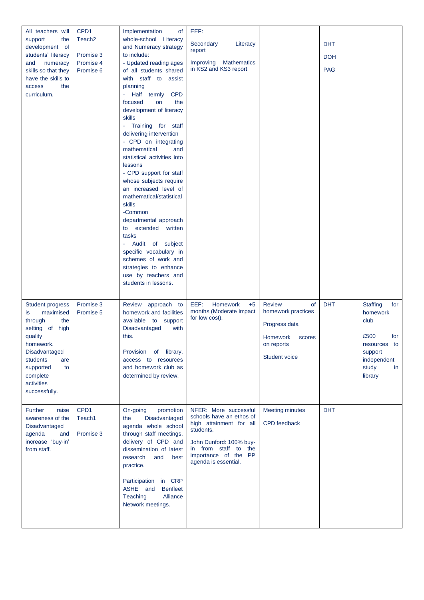| All teachers will<br>support<br>the<br>development of<br>students' literacy<br>and<br>numeracy<br>skills so that they<br>have the skills to<br>access<br>the<br>curriculum.                               | CPD1<br>Teach <sub>2</sub><br>Promise 3<br>Promise 4<br>Promise 6 | Implementation<br>of<br>whole-school Literacy<br>and Numeracy strategy<br>to include:<br>- Updated reading ages<br>of all students shared<br>with staff to assist<br>planning<br>Half termly CPD<br>focused<br>on<br>the<br>development of literacy<br>skills<br>- Training for staff<br>delivering intervention<br>- CPD on integrating<br>mathematical<br>and<br>statistical activities into<br>lessons<br>- CPD support for staff<br>whose subjects require<br>an increased level of<br>mathematical/statistical<br>skills<br>-Common<br>departmental approach<br>to extended written<br>tasks<br>Audit of subject<br>specific vocabulary in<br>schemes of work and<br>strategies to enhance<br>use by teachers and<br>students in lessons. | EEF:<br>Secondary<br>Literacy<br>report<br>Improving<br><b>Mathematics</b><br>in KS2 and KS3 report                                                                                          |                                                                                                                 | <b>DHT</b><br><b>DOH</b><br><b>PAG</b> |                                                                                                                               |
|-----------------------------------------------------------------------------------------------------------------------------------------------------------------------------------------------------------|-------------------------------------------------------------------|------------------------------------------------------------------------------------------------------------------------------------------------------------------------------------------------------------------------------------------------------------------------------------------------------------------------------------------------------------------------------------------------------------------------------------------------------------------------------------------------------------------------------------------------------------------------------------------------------------------------------------------------------------------------------------------------------------------------------------------------|----------------------------------------------------------------------------------------------------------------------------------------------------------------------------------------------|-----------------------------------------------------------------------------------------------------------------|----------------------------------------|-------------------------------------------------------------------------------------------------------------------------------|
| <b>Student progress</b><br>maximised<br>is<br>through<br>the<br>setting of high<br>quality<br>homework.<br>Disadvantaged<br>students<br>are<br>supported<br>to<br>complete<br>activities<br>successfully. | Promise 3<br>Promise 5                                            | Review approach to<br>homework and facilities<br>available to support<br>Disadvantaged<br>with<br>this.<br>Provision of library,<br>access to resources<br>and homework club as<br>determined by review.                                                                                                                                                                                                                                                                                                                                                                                                                                                                                                                                       | EEF:<br>Homework<br>$+5$<br>months (Moderate impact<br>for low cost).                                                                                                                        | <b>Review</b><br>of<br>homework practices<br>Progress data<br>Homework<br>scores<br>on reports<br>Student voice | <b>DHT</b>                             | <b>Staffing</b><br>for<br>homework<br>club<br>£500<br>for<br>resources to<br>support<br>independent<br>study<br>in<br>library |
| <b>Further</b><br>raise<br>awareness of the<br>Disadvantaged<br>agenda<br>and<br>increase 'buy-in'<br>from staff.                                                                                         | CPD1<br>Teach1<br>Promise 3                                       | On-going<br>promotion<br>Disadvantaged<br>the<br>agenda whole school<br>through staff meetings,<br>delivery of CPD and<br>dissemination of latest<br>research<br>and<br>best<br>practice.<br>Participation in CRP<br>ASHE and<br><b>Benfleet</b><br>Teaching<br>Alliance<br>Network meetings.                                                                                                                                                                                                                                                                                                                                                                                                                                                  | NFER: More successful<br>schools have an ethos of<br>high attainment for all<br>students.<br>John Dunford: 100% buy-<br>in from staff to the<br>importance of the PP<br>agenda is essential. | <b>Meeting minutes</b><br><b>CPD</b> feedback                                                                   | <b>DHT</b>                             |                                                                                                                               |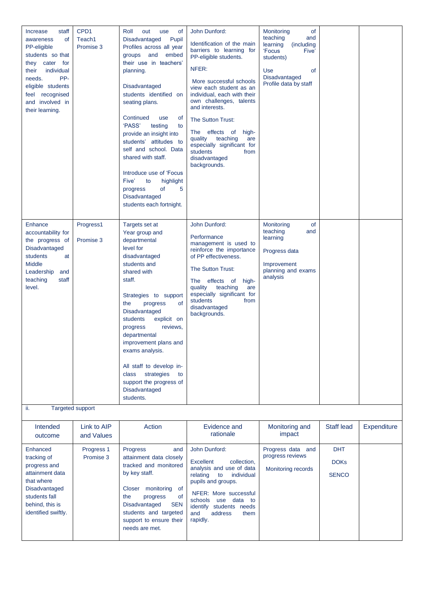| Increase<br>staff<br>of<br>awareness<br>PP-eligible<br>students so that<br>they cater for<br>individual<br>their<br>PP-<br>needs.<br>eligible students<br>feel recognised<br>and involved in<br>their learning. | CPD <sub>1</sub><br>Teach1<br>Promise 3 | Roll<br>out<br>use<br>0f<br>Pupil<br>Disadvantaged<br>Profiles across all year<br>and<br>embed<br>groups<br>their use in teachers'<br>planning.<br>Disadvantaged<br>students identified on<br>seating plans.<br>Continued<br>use<br>0f<br>'PASS'<br>testing<br>to<br>provide an insight into<br>students' attitudes to<br>self and school. Data<br>shared with staff.<br>Introduce use of 'Focus<br>Five'<br>to<br>highlight<br>of<br>5<br>progress<br>Disadvantaged<br>students each fortnight. | John Dunford:<br>Identification of the main<br>barriers to learning for<br>PP-eligible students.<br>NFER:<br>More successful schools<br>view each student as an<br>individual, each with their<br>own challenges, talents<br>and interests.<br>The Sutton Trust:<br>The effects of<br>high-<br>quality teaching<br>are<br>especially significant for<br>students<br>from<br>disadvantaged<br>backgrounds. | <b>of</b><br>Monitoring<br>teaching<br>and<br>learning<br>(including)<br>'Focus<br>Five'<br>students)<br>Use<br><b>of</b><br>Disadvantaged<br>Profile data by staff |                                           |             |
|-----------------------------------------------------------------------------------------------------------------------------------------------------------------------------------------------------------------|-----------------------------------------|--------------------------------------------------------------------------------------------------------------------------------------------------------------------------------------------------------------------------------------------------------------------------------------------------------------------------------------------------------------------------------------------------------------------------------------------------------------------------------------------------|-----------------------------------------------------------------------------------------------------------------------------------------------------------------------------------------------------------------------------------------------------------------------------------------------------------------------------------------------------------------------------------------------------------|---------------------------------------------------------------------------------------------------------------------------------------------------------------------|-------------------------------------------|-------------|
| Enhance<br>accountability for<br>the progress of<br>Disadvantaged<br>students<br>at<br>Middle<br>Leadership<br>and<br>teaching<br>staff<br>level.                                                               | Progress1<br>Promise 3                  | Targets set at<br>Year group and<br>departmental<br>level for<br>disadvantaged<br>students and<br>shared with<br>staff.<br>Strategies to support<br><b>of</b><br>progress<br>the<br>Disadvantaged<br>students<br>explicit on<br>reviews,<br>progress<br>departmental<br>improvement plans and<br>exams analysis.<br>All staff to develop in-<br>strategies<br>class<br>to<br>support the progress of<br>Disadvantaged<br>students.                                                               | John Dunford:<br>Performance<br>management is used to<br>reinforce the importance<br>of PP effectiveness.<br>The Sutton Trust:<br>effects of<br>The<br>high-<br>quality<br>teaching<br>are<br>especially significant for<br>students<br>from<br>disadvantaged<br>backgrounds.                                                                                                                             | Monitoring<br><b>of</b><br>teaching<br>and<br>learning<br>Progress data<br>Improvement<br>planning and exams<br>analysis                                            |                                           |             |
| ii.                                                                                                                                                                                                             | Targeted support                        |                                                                                                                                                                                                                                                                                                                                                                                                                                                                                                  |                                                                                                                                                                                                                                                                                                                                                                                                           |                                                                                                                                                                     |                                           |             |
| Intended<br>outcome                                                                                                                                                                                             | Link to AIP<br>and Values               | Action                                                                                                                                                                                                                                                                                                                                                                                                                                                                                           | Evidence and<br>rationale                                                                                                                                                                                                                                                                                                                                                                                 | Monitoring and<br>impact                                                                                                                                            | Staff lead                                | Expenditure |
| Enhanced<br>tracking of<br>progress and<br>attainment data<br>that where<br>Disadvantaged<br>students fall<br>behind, this is<br>identified swiftly.                                                            | Progress 1<br>Promise 3                 | Progress<br>and<br>attainment data closely<br>tracked and monitored<br>by key staff.<br>Closer monitoring<br>of<br>the<br>progress<br>of<br>Disadvantaged<br><b>SEN</b><br>students and targeted<br>support to ensure their<br>needs are met.                                                                                                                                                                                                                                                    | John Dunford:<br><b>Excellent</b><br>collection,<br>analysis and use of data<br>relating<br>individual<br>to<br>pupils and groups.<br>NFER: More successful<br>use data to<br>schools<br>identify students needs<br>and<br>address<br>them<br>rapidly.                                                                                                                                                    | Progress data and<br>progress reviews<br>Monitoring records                                                                                                         | <b>DHT</b><br><b>DOKs</b><br><b>SENCO</b> |             |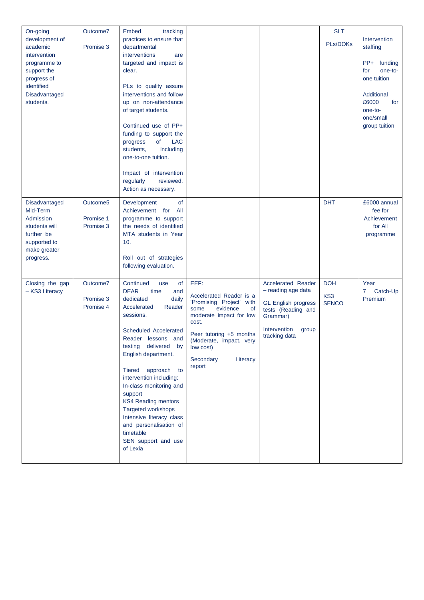| On-going<br>development of<br>academic<br>intervention<br>programme to<br>support the<br>progress of<br>identified<br>Disadvantaged<br>students. | Outcome7<br>Promise 3              | Embed<br>tracking<br>practices to ensure that<br>departmental<br>interventions<br>are<br>targeted and impact is<br>clear.<br>PLs to quality assure<br>interventions and follow<br>up on non-attendance                                                                                                                                                                                                                                                                    |                                                                                                                                                                                                                                 |                                                                                                                                                    | <b>SLT</b><br>PLs/DOKs            | Intervention<br>staffing<br>PP+<br>funding<br>one-to-<br>for<br>one tuition<br>Additional<br>£6000<br>for |
|--------------------------------------------------------------------------------------------------------------------------------------------------|------------------------------------|---------------------------------------------------------------------------------------------------------------------------------------------------------------------------------------------------------------------------------------------------------------------------------------------------------------------------------------------------------------------------------------------------------------------------------------------------------------------------|---------------------------------------------------------------------------------------------------------------------------------------------------------------------------------------------------------------------------------|----------------------------------------------------------------------------------------------------------------------------------------------------|-----------------------------------|-----------------------------------------------------------------------------------------------------------|
|                                                                                                                                                  |                                    | of target students.<br>Continued use of PP+<br>funding to support the<br>progress<br>of<br><b>LAC</b><br>including<br>students,<br>one-to-one tuition.<br>Impact of intervention<br>regularly<br>reviewed.<br>Action as necessary.                                                                                                                                                                                                                                        |                                                                                                                                                                                                                                 |                                                                                                                                                    |                                   | one-to-<br>one/small<br>group tuition                                                                     |
| Disadvantaged<br>Mid-Term<br>Admission<br>students will<br>further be<br>supported to<br>make greater<br>progress.                               | Outcome5<br>Promise 1<br>Promise 3 | of<br>Development<br>Achievement for<br>All<br>programme to support<br>the needs of identified<br>MTA students in Year<br>10.<br>Roll out of strategies<br>following evaluation.                                                                                                                                                                                                                                                                                          |                                                                                                                                                                                                                                 |                                                                                                                                                    | <b>DHT</b>                        | £6000 annual<br>fee for<br>Achievement<br>for All<br>programme                                            |
| Closing the gap<br>- KS3 Literacy                                                                                                                | Outcome7<br>Promise 3<br>Promise 4 | Continued<br>of<br>use<br><b>DEAR</b><br>time<br>and<br>dedicated<br>daily<br>Accelerated<br>Reader<br>sessions.<br>Scheduled Accelerated<br>Reader lessons and<br>testing delivered by<br>English department.<br><b>Tiered</b><br>approach to<br>intervention including:<br>In-class monitoring and<br>support<br><b>KS4 Reading mentors</b><br>Targeted workshops<br>Intensive literacy class<br>and personalisation of<br>timetable<br>SEN support and use<br>of Lexia | EEF:<br>Accelerated Reader is a<br>'Promising Project' with<br>evidence<br>some<br>0f<br>moderate impact for low<br>cost.<br>Peer tutoring +5 months<br>(Moderate, impact, very<br>low cost)<br>Secondary<br>Literacy<br>report | Accelerated Reader<br>- reading age data<br><b>GL English progress</b><br>tests (Reading and<br>Grammar)<br>Intervention<br>group<br>tracking data | <b>DOH</b><br>KS3<br><b>SENCO</b> | Year<br>7<br>Catch-Up<br>Premium                                                                          |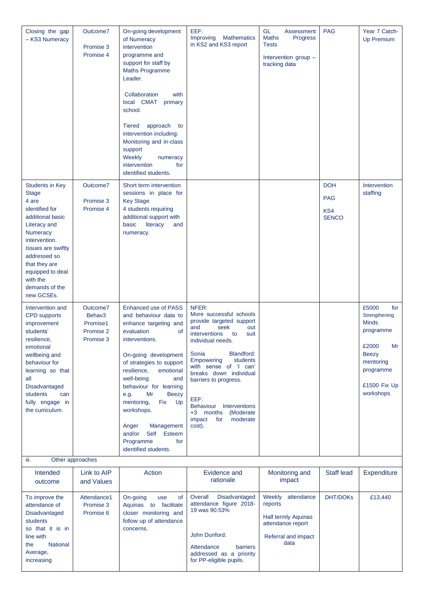| Closing the gap<br>- KS3 Numeracy                                                                                                                                                                                                                                | Outcome7<br>Promise 3<br>Promise 4                       | On-going development<br>of Numeracy<br>intervention<br>programme and<br>support for staff by<br><b>Maths Programme</b><br>Leader.<br>Collaboration<br>with<br>local CMAT<br>primary<br>school.<br>approach to<br><b>Tiered</b><br>intervention including:<br>Monitoring and in-class<br>support<br>Weekly<br>numeracy<br>intervention<br>for<br>identified students.                                                     | EEF:<br><b>Mathematics</b><br>Improving<br>in KS2 and KS3 report                                                                                                                                                                                                                                                                                                                          | GL<br>Assessment<br><b>Maths</b><br>Progress<br><b>Tests</b><br>Intervention group -<br>tracking data  | <b>PAG</b>                                      | Year 7 Catch-<br><b>Up Premium</b>                                                                                                               |
|------------------------------------------------------------------------------------------------------------------------------------------------------------------------------------------------------------------------------------------------------------------|----------------------------------------------------------|--------------------------------------------------------------------------------------------------------------------------------------------------------------------------------------------------------------------------------------------------------------------------------------------------------------------------------------------------------------------------------------------------------------------------|-------------------------------------------------------------------------------------------------------------------------------------------------------------------------------------------------------------------------------------------------------------------------------------------------------------------------------------------------------------------------------------------|--------------------------------------------------------------------------------------------------------|-------------------------------------------------|--------------------------------------------------------------------------------------------------------------------------------------------------|
| <b>Students in Key</b><br><b>Stage</b><br>4 are<br>identified for<br>additional basic<br>Literacy and<br>Numeracy<br>intervention.<br><b>Issues are swiftly</b><br>addressed so<br>that they are<br>equipped to deal<br>with the<br>demands of the<br>new GCSEs. | Outcome7<br>Promise 3<br>Promise 4                       | Short term intervention<br>sessions in place for<br><b>Key Stage</b><br>4 students requiring<br>additional support with<br>basic<br>literacy<br>and<br>numeracy.                                                                                                                                                                                                                                                         |                                                                                                                                                                                                                                                                                                                                                                                           |                                                                                                        | <b>DOH</b><br><b>PAG</b><br>KS4<br><b>SENCO</b> | Intervention<br>staffing                                                                                                                         |
| Intervention and<br><b>CPD</b> supports<br>improvement<br>students'<br>resilience,<br>emotional<br>wellbeing and<br>behaviour for<br>learning so that<br>all<br>Disadvantaged<br>students<br>can<br>fully engage in<br>the curriculum.                           | Outcome7<br>Behav3<br>Promise1<br>Promise 2<br>Promise 3 | <b>Enhanced use of PASS</b><br>and behaviour data to<br>enhance targeting and<br>evaluation<br>0f<br>interventions.<br>On-going development<br>of strategies to support<br>resilience,<br>emotional<br>well-being<br>and<br>behaviour for learning<br>Mr<br><b>Beezy</b><br>e.g.<br>mentoring,<br>Fix<br>Up<br>workshops.<br>Management<br>Anger<br>Self<br>and/or<br>Esteem<br>Programme<br>for<br>identified students. | NFER:<br>More successful schools<br>provide targeted support<br>seek<br>and<br>out<br>interventions<br>suit<br>to<br>individual needs.<br>Blandford:<br>Sonia<br>Empowering<br>students<br>with sense of 'I can'<br>breaks down individual<br>barriers to progress.<br>EEF:<br><b>Behaviour</b><br><b>Interventions</b><br>+3 months<br>(Moderate)<br>moderate<br>impact<br>for<br>cost). |                                                                                                        |                                                 | £5000<br>for<br>Strengthening<br><b>Minds</b><br>programme<br>£2000<br>Mr<br><b>Beezy</b><br>mentoring<br>programme<br>£1500 Fix Up<br>workshops |
| iii.                                                                                                                                                                                                                                                             | Other approaches                                         |                                                                                                                                                                                                                                                                                                                                                                                                                          |                                                                                                                                                                                                                                                                                                                                                                                           |                                                                                                        |                                                 |                                                                                                                                                  |
| Intended<br>outcome                                                                                                                                                                                                                                              | Link to AIP<br>and Values                                | Action                                                                                                                                                                                                                                                                                                                                                                                                                   | Evidence and<br>rationale                                                                                                                                                                                                                                                                                                                                                                 | Monitoring and<br>impact                                                                               | Staff lead                                      | Expenditure                                                                                                                                      |
| To improve the<br>attendance of<br>Disadvantaged<br>students<br>so that it is in<br>line with                                                                                                                                                                    | Attendance1<br>Promise 3<br>Promise 6                    | On-going<br>use<br>of<br>Aquinas to facilitate<br>closer monitoring and<br>follow up of attendance<br>concerns.                                                                                                                                                                                                                                                                                                          | Overall<br>Disadvantaged<br>attendance figure 2018-<br>19 was 90.53%<br>John Dunford:                                                                                                                                                                                                                                                                                                     | Weekly attendance<br>reports<br><b>Half termly Aquinas</b><br>attendance report<br>Referral and impact | <b>DHT/DOKs</b>                                 | £13,440                                                                                                                                          |

Attendance barriers addressed as a priority for PP-eligible pupils.

data

the National Average, increasing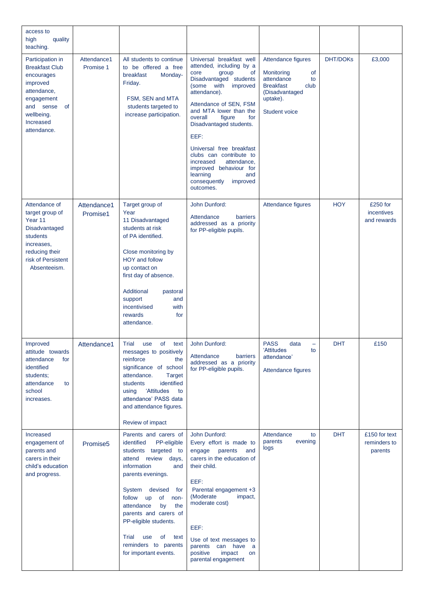| access to<br>high<br>quality<br>teaching.                                                                                                                     |                          |                                                                                                                                                                                                                                                                                                                                            |                                                                                                                                                                                                                                                                                                                                                                                                                                                |                                                                                                                                       |                 |                                          |
|---------------------------------------------------------------------------------------------------------------------------------------------------------------|--------------------------|--------------------------------------------------------------------------------------------------------------------------------------------------------------------------------------------------------------------------------------------------------------------------------------------------------------------------------------------|------------------------------------------------------------------------------------------------------------------------------------------------------------------------------------------------------------------------------------------------------------------------------------------------------------------------------------------------------------------------------------------------------------------------------------------------|---------------------------------------------------------------------------------------------------------------------------------------|-----------------|------------------------------------------|
| Participation in<br><b>Breakfast Club</b><br>encourages<br>improved<br>attendance,<br>engagement<br>and sense<br>of<br>wellbeing.<br>Increased<br>attendance. | Attendance1<br>Promise 1 | All students to continue<br>to be offered a free<br>breakfast<br>Monday-<br>Friday.<br>FSM, SEN and MTA<br>students targeted to<br>increase participation.                                                                                                                                                                                 | Universal breakfast well<br>attended, including by a<br>group<br>core<br>0f<br>Disadvantaged students<br>with<br>improved<br>(some<br>attendance).<br>Attendance of SEN, FSM<br>and MTA lower than the<br>figure<br>overall<br>for<br>Disadvantaged students.<br>EEF:<br>Universal free breakfast<br>clubs can contribute to<br>attendance,<br>increased<br>improved behaviour for<br>learning<br>and<br>consequently<br>improved<br>outcomes. | Attendance figures<br>of<br>Monitoring<br>attendance<br>to<br><b>Breakfast</b><br>club<br>(Disadvantaged<br>uptake).<br>Student voice | <b>DHT/DOKs</b> | £3,000                                   |
| Attendance of<br>target group of<br>Year 11<br>Disadvantaged<br>students<br>increases,<br>reducing their<br>risk of Persistent<br>Absenteeism.                | Attendance1<br>Promise1  | Target group of<br>Year<br>11 Disadvantaged<br>students at risk<br>of PA identified.<br>Close monitoring by<br>HOY and follow<br>up contact on<br>first day of absence.<br>Additional<br>pastoral<br>support<br>and<br>with<br>incentivised<br>rewards<br>for<br>attendance.                                                               | John Dunford:<br>Attendance<br>barriers<br>addressed as a priority<br>for PP-eligible pupils.                                                                                                                                                                                                                                                                                                                                                  | Attendance figures                                                                                                                    | <b>HOY</b>      | £250 for<br>incentives<br>and rewards    |
| Improved<br>attitude towards<br>attendance<br>for<br>identified<br>students:<br>attendance<br>to<br>school<br>increases.                                      | Attendance1              | Trial<br>use<br>of l<br>text<br>messages to positively<br>reinforce<br>the<br>significance of school<br>attendance.<br>Target<br>identified<br>students<br>'Attitudes<br>using<br>to<br>attendance' PASS data<br>and attendance figures.<br>Review of impact                                                                               | John Dunford:<br>Attendance<br>barriers<br>addressed as a priority<br>for PP-eligible pupils.                                                                                                                                                                                                                                                                                                                                                  | <b>PASS</b><br>data<br>-<br>'Attitudes<br>to<br>attendance'<br>Attendance figures                                                     | <b>DHT</b>      | £150                                     |
| Increased<br>engagement of<br>parents and<br>carers in their<br>child's education<br>and progress.                                                            | Promise <sub>5</sub>     | Parents and carers of<br>identified<br>PP-eligible<br>students targeted to<br>attend review days,<br>information<br>and<br>parents evenings.<br>System devised for<br>follow up of non-<br>attendance<br>by<br>the<br>parents and carers of<br>PP-eligible students.<br>Trial use of text<br>reminders to parents<br>for important events. | John Dunford:<br>Every effort is made to<br>engage parents and<br>carers in the education of<br>their child.<br>EEF:<br>Parental engagement +3<br>(Moderate<br>impact,<br>moderate cost)<br>EEF:<br>Use of text messages to<br>parents can have a<br>positive<br>impact<br>on<br>parental engagement                                                                                                                                           | Attendance<br>to<br>parents<br>evening<br>logs                                                                                        | <b>DHT</b>      | £150 for text<br>reminders to<br>parents |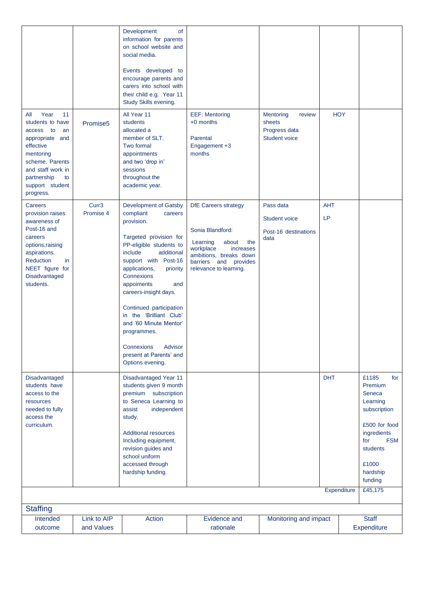| Year<br>11<br>All<br>students to have<br>access to<br>an<br>appropriate and<br>effective<br>mentoring<br>scheme. Parents<br>and staff work in<br>partnership<br>to                   | Promise <sub>5</sub>           | Development<br><b>of</b><br>information for parents<br>on school website and<br>social media.<br>Events developed to<br>encourage parents and<br>carers into school with<br>their child e.g. Year 11<br>Study Skills evening.<br>All Year 11<br>students<br>allocated a<br>member of SLT.<br>Two formal<br>appointments<br>and two 'drop in'<br>sessions<br>throughout the                                                        | <b>EEF: Mentoring</b><br>$+0$ months<br>Parental<br>Engagement +3<br>months                                                                                                           | Mentoring<br>review<br>sheets<br>Progress data<br><b>Student voice</b> | <b>HOY</b>                |                                                                                                                                                                           |
|--------------------------------------------------------------------------------------------------------------------------------------------------------------------------------------|--------------------------------|-----------------------------------------------------------------------------------------------------------------------------------------------------------------------------------------------------------------------------------------------------------------------------------------------------------------------------------------------------------------------------------------------------------------------------------|---------------------------------------------------------------------------------------------------------------------------------------------------------------------------------------|------------------------------------------------------------------------|---------------------------|---------------------------------------------------------------------------------------------------------------------------------------------------------------------------|
| support student<br>progress.                                                                                                                                                         |                                | academic year.                                                                                                                                                                                                                                                                                                                                                                                                                    |                                                                                                                                                                                       |                                                                        |                           |                                                                                                                                                                           |
| Careers<br>provision raises<br>awareness of<br>Post-16 and<br>careers<br>options, raising<br>aspirations.<br><b>Reduction</b><br>in<br>NEET figure for<br>Disadvantaged<br>students. | Curr <sub>3</sub><br>Promise 4 | Development of Gatsby<br>compliant<br>careers<br>provision.<br>Targeted provision for<br>PP-eligible students to<br>include<br>additional<br>support with Post-16<br>applications,<br>priority<br>Connexions<br>appoiments<br>and<br>careers-insight days.<br>Continued participation<br>in the 'Brilliant Club'<br>and '60 Minute Mentor'<br>programmes.<br>Advisor<br>Connexions<br>present at Parents' and<br>Options evening. | <b>DfE Careers strategy</b><br>Sonia Blandford:<br>Learning<br>the<br>about<br>workplace<br>increases<br>ambitions, breaks down<br>barriers and<br>provides<br>relevance to learning. | Pass data<br>Student voice<br>Post-16 destinations<br>data             | <b>AHT</b><br>LP          |                                                                                                                                                                           |
| Disadvantaged<br>students have<br>access to the<br>resources<br>needed to fully<br>access the<br>curriculum.                                                                         |                                | Disadvantaged Year 11<br>students given 9 month<br>premium subscription<br>to Seneca Learning to<br>assist<br>independent<br>study.<br><b>Additional resources</b><br>Including equipment,<br>revision guides and<br>school uniform<br>accessed through<br>hardship funding.                                                                                                                                                      |                                                                                                                                                                                       |                                                                        | <b>DHT</b><br>Expenditure | £1185<br>for<br>Premium<br>Seneca<br>Learning<br>subscription<br>£500 for food<br>ingredients<br>for<br><b>FSM</b><br>students<br>£1000<br>hardship<br>funding<br>£45,175 |
| <b>Staffing</b>                                                                                                                                                                      |                                |                                                                                                                                                                                                                                                                                                                                                                                                                                   |                                                                                                                                                                                       |                                                                        |                           |                                                                                                                                                                           |
| Intended<br>outcome                                                                                                                                                                  | Link to AIP<br>and Values      | Action                                                                                                                                                                                                                                                                                                                                                                                                                            | Evidence and<br>rationale                                                                                                                                                             | Monitoring and impact                                                  |                           | <b>Staff</b><br>Expenditure                                                                                                                                               |